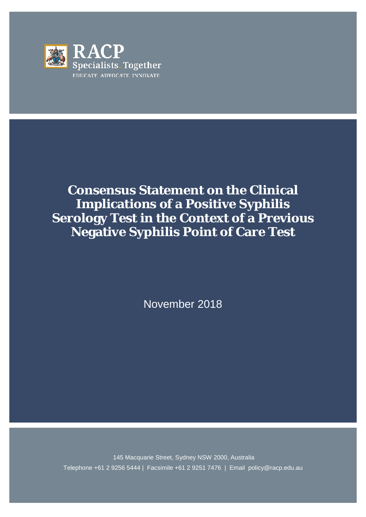

# **Consensus Statement on the Clinical Implications of a Positive Syphilis Serology Test in the Context of a Previous Negative Syphilis Point of Care Test**

November 2018

145 Macquarie Street, Sydney NSW 2000, Australia Telephone +61 2 9256 5444 | Facsimile +61 2 9251 7476 | Email policy@racp.edu.au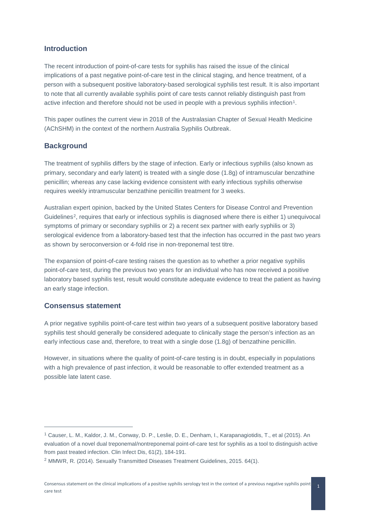### **Introduction**

The recent introduction of point-of-care tests for syphilis has raised the issue of the clinical implications of a past negative point-of-care test in the clinical staging, and hence treatment, of a person with a subsequent positive laboratory-based serological syphilis test result. It is also important to note that all currently available syphilis point of care tests cannot reliably distinguish past from active infection and therefore should not be used in people with a previous syphilis infection<sup>[1](#page-1-0)</sup>.

This paper outlines the current view in 2018 of the Australasian Chapter of Sexual Health Medicine (AChSHM) in the context of the northern Australia Syphilis Outbreak.

#### **Background**

The treatment of syphilis differs by the stage of infection. Early or infectious syphilis (also known as primary, secondary and early latent) is treated with a single dose (1.8g) of intramuscular benzathine penicillin; whereas any case lacking evidence consistent with early infectious syphilis otherwise requires weekly intramuscular benzathine penicillin treatment for 3 weeks.

Australian expert opinion, backed by the United States Centers for Disease Control and Prevention Guidelines[2](#page-1-1), requires that early or infectious syphilis is diagnosed where there is either 1) unequivocal symptoms of primary or secondary syphilis or 2) a recent sex partner with early syphilis or 3) serological evidence from a laboratory-based test that the infection has occurred in the past two years as shown by seroconversion or 4-fold rise in non-treponemal test titre.

The expansion of point-of-care testing raises the question as to whether a prior negative syphilis point-of-care test, during the previous two years for an individual who has now received a positive laboratory based syphilis test, result would constitute adequate evidence to treat the patient as having an early stage infection.

### **Consensus statement**

-

A prior negative syphilis point-of-care test within two years of a subsequent positive laboratory based syphilis test should generally be considered adequate to clinically stage the person's infection as an early infectious case and, therefore, to treat with a single dose (1.8g) of benzathine penicillin.

However, in situations where the quality of point-of-care testing is in doubt, especially in populations with a high prevalence of past infection, it would be reasonable to offer extended treatment as a possible late latent case.

<span id="page-1-0"></span><sup>1</sup> Causer, L. M., Kaldor, J. M., Conway, D. P., Leslie, D. E., Denham, I., Karapanagiotidis, T., et al (2015). An evaluation of a novel dual treponemal/nontreponemal point-of-care test for syphilis as a tool to distinguish active from past treated infection. Clin Infect Dis, 61(2), 184-191.

<span id="page-1-1"></span><sup>2</sup> MMWR, R. (2014). Sexually Transmitted Diseases Treatment Guidelines, 2015. 64(1).